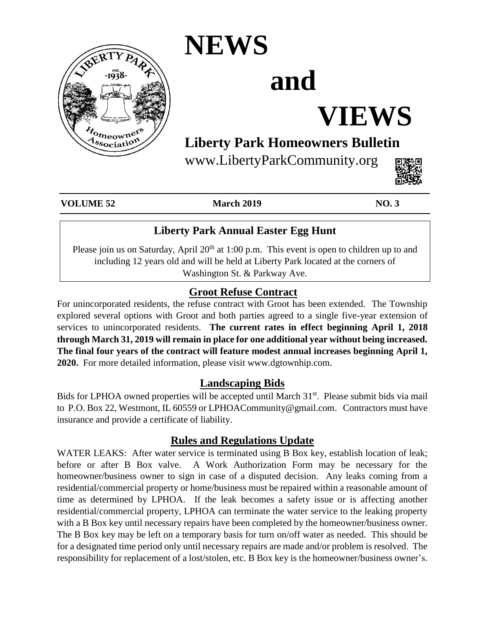

### **NEWS**

# **and**

# **VIEWS**

### **Liberty Park Homeowners Bulletin**

www.LibertyParkCommunity.org



**VOLUME 52 March 2019 NO. 3**

### **Liberty Park Annual Easter Egg Hunt**

Please join us on Saturday, April  $20<sup>th</sup>$  at 1:00 p.m. This event is open to children up to and including 12 years old and will be held at Liberty Park located at the corners of Washington St. & Parkway Ave.

#### **Groot Refuse Contract**

For unincorporated residents, the refuse contract with Groot has been extended. The Township explored several options with Groot and both parties agreed to a single five-year extension of services to unincorporated residents. **The current rates in effect beginning April 1, 2018 through March 31, 2019 will remain in place for one additional year without being increased. The final four years of the contract will feature modest annual increases beginning April 1, 2020.** For more detailed information, please visit www.dgtownhip.com.

#### **Landscaping Bids**

Bids for LPHOA owned properties will be accepted until March 31<sup>st</sup>. Please submit bids via mail to P.O. Box 22, Westmont, IL 60559 or LPHOACommunity@gmail.com. Contractors must have insurance and provide a certificate of liability.

#### **Rules and Regulations Update**

WATER LEAKS: After water service is terminated using B Box key, establish location of leak; before or after B Box valve. A Work Authorization Form may be necessary for the homeowner/business owner to sign in case of a disputed decision. Any leaks coming from a residential/commercial property or home/business must be repaired within a reasonable amount of time as determined by LPHOA. If the leak becomes a safety issue or is affecting another residential/commercial property, LPHOA can terminate the water service to the leaking property with a B Box key until necessary repairs have been completed by the homeowner/business owner. The B Box key may be left on a temporary basis for turn on/off water as needed. This should be for a designated time period only until necessary repairs are made and/or problem is resolved. The responsibility for replacement of a lost/stolen, etc. B Box key is the homeowner/business owner's.